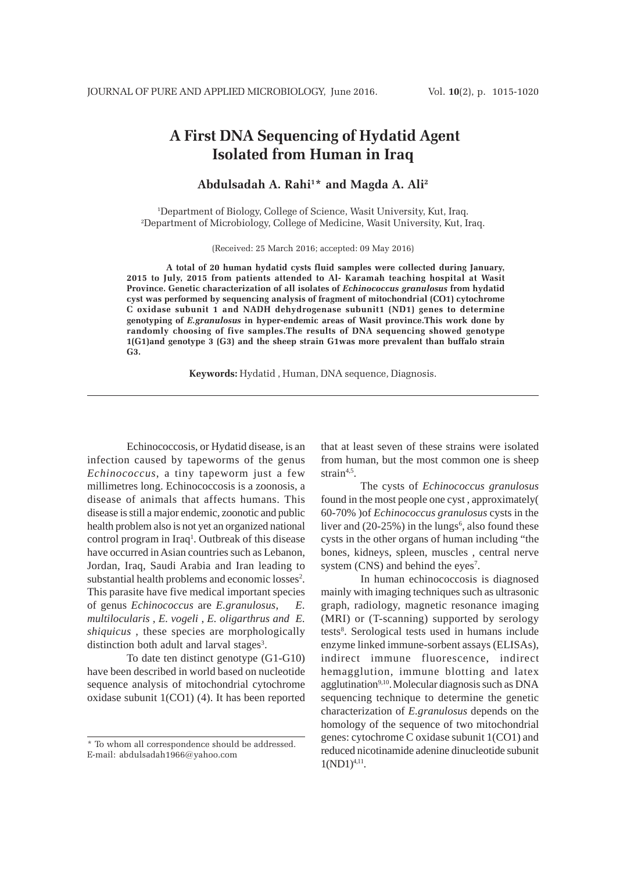# **A First DNA Sequencing of Hydatid Agent Isolated from Human in Iraq**

## **Abdulsadah A. Rahi1 \* and Magda A. Ali2**

1 Department of Biology, College of Science, Wasit University, Kut, Iraq. 2 Department of Microbiology, College of Medicine, Wasit University, Kut, Iraq.

(Received: 25 March 2016; accepted: 09 May 2016)

**A total of 20 human hydatid cysts fluid samples were collected during January, 2015 to July, 2015 from patients attended to Al- Karamah teaching hospital at Wasit Province. Genetic characterization of all isolates of** *Echinococcus granulosus* **from hydatid cyst was performed by sequencing analysis of fragment of mitochondrial (CO1) cytochrome C oxidase subunit 1 and NADH dehydrogenase subunit1 (ND1) genes to determine genotyping of** *E.granulosus* **in hyper-endemic areas of Wasit province.This work done by randomly choosing of five samples.The results of DNA sequencing showed genotype 1(G1)and genotype 3 (G3) and the sheep strain G1was more prevalent than buffalo strain G3.**

**Keywords:** Hydatid , Human, DNA sequence, Diagnosis.

Echinococcosis, or Hydatid disease, is an infection caused by tapeworms of the genus *Echinococcus*, a tiny tapeworm just a few millimetres long. Echinococcosis is a zoonosis, a disease of animals that affects humans. This disease is still a major endemic, zoonotic and public health problem also is not yet an organized national control program in Iraq<sup>1</sup>. Outbreak of this disease have occurred in Asian countries such as Lebanon, Jordan, Iraq, Saudi Arabia and Iran leading to substantial health problems and economic losses<sup>2</sup>. This parasite have five medical important species of genus *Echinococcus* are *E.granulosus*, *E. multilocularis* , *E. vogeli* , *E. oligarthrus and E. shiquicus* , these species are morphologically distinction both adult and larval stages<sup>3</sup>.

To date ten distinct genotype (G1-G10) have been described in world based on nucleotide sequence analysis of mitochondrial cytochrome oxidase subunit 1(CO1) (4). It has been reported that at least seven of these strains were isolated from human, but the most common one is sheep strain $4,5$ .

The cysts of *Echinococcus granulosus* found in the most people one cyst , approximately( 60-70% )of *Echinococcus granulosus* cysts in the liver and  $(20-25%)$  in the lungs<sup>6</sup>, also found these cysts in the other organs of human including "the bones, kidneys, spleen, muscles , central nerve system (CNS) and behind the eyes<sup>7</sup>.

In human echinococcosis is diagnosed mainly with imaging techniques such as ultrasonic graph, radiology, magnetic resonance imaging (MRI) or (T-scanning) supported by serology tests<sup>8</sup>. Serological tests used in humans include enzyme linked immune-sorbent assays (ELISAs), indirect immune fluorescence, indirect hemagglution, immune blotting and latex agglutination<sup>9,10</sup>. Molecular diagnosis such as DNA sequencing technique to determine the genetic characterization of *E.granulosus* depends on the homology of the sequence of two mitochondrial genes: cytochrome C oxidase subunit 1(CO1) and reduced nicotinamide adenine dinucleotide subunit  $1(ND1)^{4,11}$ .

<sup>\*</sup> To whom all correspondence should be addressed. E-mail: abdulsadah1966@yahoo.com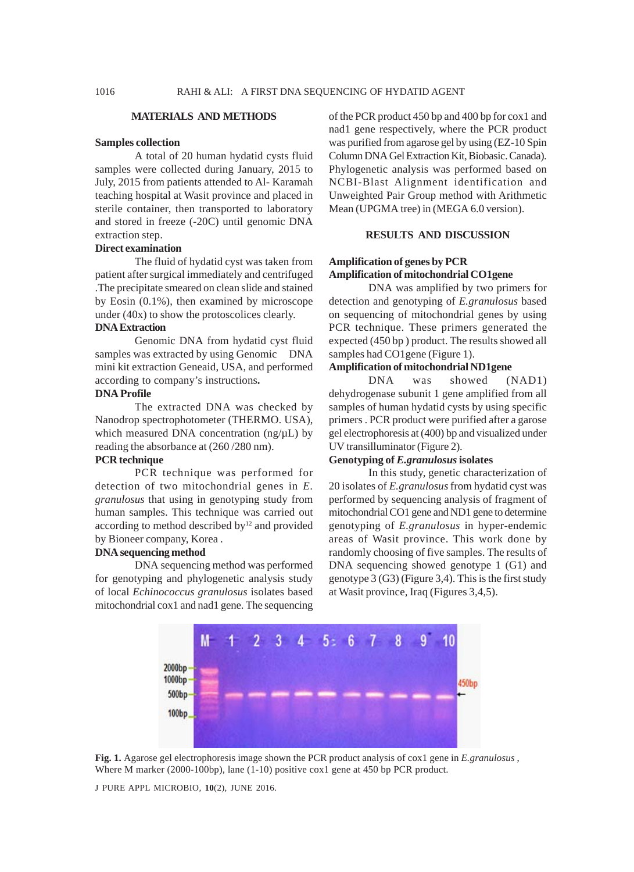#### **MATERIALS AND METHODS**

#### **Samples collection**

A total of 20 human hydatid cysts fluid samples were collected during January, 2015 to July, 2015 from patients attended to Al- Karamah teaching hospital at Wasit province and placed in sterile container, then transported to laboratory and stored in freeze (-20C) until genomic DNA extraction step.

## **Direct examination**

The fluid of hydatid cyst was taken from patient after surgical immediately and centrifuged .The precipitate smeared on clean slide and stained by Eosin (0.1%), then examined by microscope under (40x) to show the protoscolices clearly.

## **DNA Extraction**

Genomic DNA from hydatid cyst fluid samples was extracted by using Genomic DNA mini kit extraction Geneaid, USA, and performed according to company's instructions**.**

## **DNA Profile**

The extracted DNA was checked by Nanodrop spectrophotometer (THERMO. USA), which measured DNA concentration (ng/ $\mu$ L) by reading the absorbance at (260 /280 nm).

## **PCR technique**

PCR technique was performed for detection of two mitochondrial genes in *E. granulosus* that using in genotyping study from human samples. This technique was carried out according to method described by $12$  and provided by Bioneer company, Korea .

#### **DNA sequencing method**

DNA sequencing method was performed for genotyping and phylogenetic analysis study of local *Echinococcus granulosus* isolates based mitochondrial cox1 and nad1 gene. The sequencing

of the PCR product 450 bp and 400 bp for cox1 and nad1 gene respectively, where the PCR product was purified from agarose gel by using (EZ-10 Spin Column DNA Gel Extraction Kit, Biobasic. Canada). Phylogenetic analysis was performed based on NCBI-Blast Alignment identification and Unweighted Pair Group method with Arithmetic Mean (UPGMA tree) in (MEGA 6.0 version).

## **RESULTS AND DISCUSSION**

## **Amplification of genes by PCR Amplification of mitochondrial CO1gene**

DNA was amplified by two primers for detection and genotyping of *E.granulosus* based on sequencing of mitochondrial genes by using PCR technique. These primers generated the expected (450 bp ) product. The results showed all samples had CO1gene (Figure 1).

#### **Amplification of mitochondrial ND1gene**

DNA was showed (NAD1) dehydrogenase subunit 1 gene amplified from all samples of human hydatid cysts by using specific primers . PCR product were purified after a garose gel electrophoresis at (400) bp and visualized under UV transilluminator (Figure 2).

## **Genotyping of** *E.granulosus* **isolates**

In this study, genetic characterization of 20 isolates of *E.granulosus* from hydatid cyst was performed by sequencing analysis of fragment of mitochondrial CO1 gene and ND1 gene to determine genotyping of *E.granulosus* in hyper-endemic areas of Wasit province. This work done by randomly choosing of five samples. The results of DNA sequencing showed genotype 1 (G1) and genotype 3 (G3) (Figure 3,4). This is the first study at Wasit province, Iraq (Figures 3,4,5).



**Fig. 1.** Agarose gel electrophoresis image shown the PCR product analysis of cox1 gene in *E.granulosus* , Where M marker (2000-100bp), lane (1-10) positive cox1 gene at 450 bp PCR product.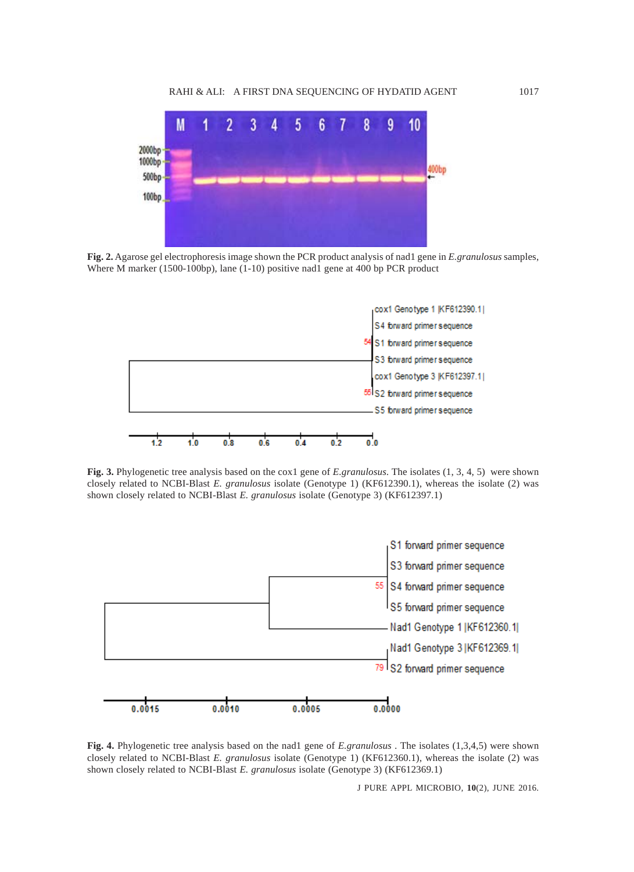

**Fig. 2.** Agarose gel electrophoresis image shown the PCR product analysis of nad1 gene in *E.granulosus* samples, Where M marker (1500-100bp), lane (1-10) positive nad1 gene at 400 bp PCR product



**Fig. 3.** Phylogenetic tree analysis based on the cox1 gene of *E.granulosus*. The isolates (1, 3, 4, 5) were shown closely related to NCBI-Blast *E. granulosus* isolate (Genotype 1) (KF612390.1), whereas the isolate (2) was shown closely related to NCBI-Blast *E. granulosus* isolate (Genotype 3) (KF612397.1)



**Fig. 4.** Phylogenetic tree analysis based on the nad1 gene of *E.granulosus* . The isolates (1,3,4,5) were shown closely related to NCBI-Blast *E. granulosus* isolate (Genotype 1) (KF612360.1), whereas the isolate (2) was shown closely related to NCBI-Blast *E. granulosus* isolate (Genotype 3) (KF612369.1)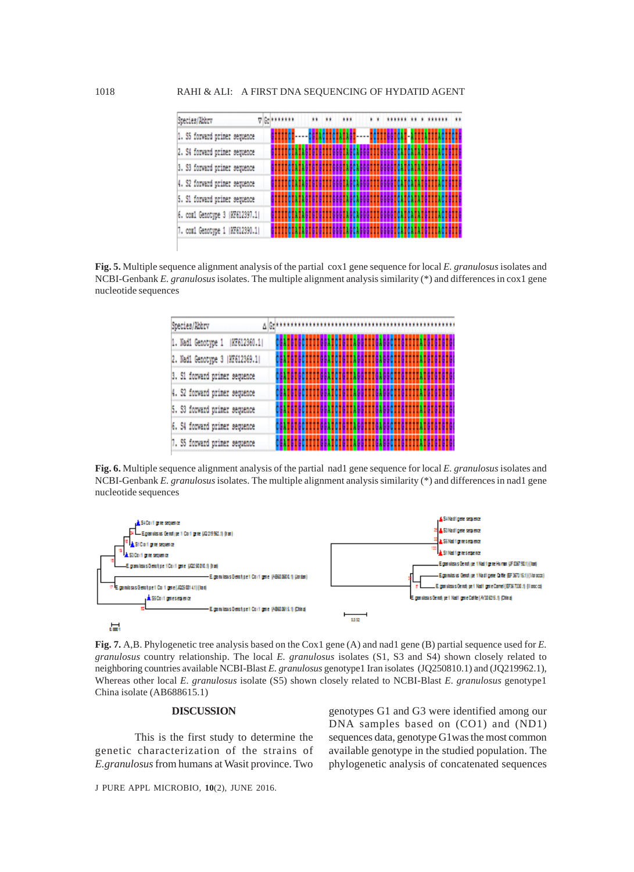| Species/Abbry                   |  | A BLassass |  | <br> |  |  |  |  |  |
|---------------------------------|--|------------|--|------|--|--|--|--|--|
| 1. S5 forward primer sequence   |  |            |  |      |  |  |  |  |  |
| 2. S4 forward primer sequence   |  |            |  |      |  |  |  |  |  |
| 3. S3 forward primer sequence   |  |            |  |      |  |  |  |  |  |
| 4. S2 forward primer sequence   |  |            |  |      |  |  |  |  |  |
| 5. S1 forward primer sequence   |  |            |  |      |  |  |  |  |  |
| 6. com1 Genotype 3   KF612397.1 |  |            |  |      |  |  |  |  |  |
| 7. com1 Genotype 1   KF612390.1 |  |            |  |      |  |  |  |  |  |

**Fig. 5.** Multiple sequence alignment analysis of the partial cox1 gene sequence for local *E. granulosus* isolates and NCBI-Genbank *E. granulosus* isolates. The multiple alignment analysis similarity (\*) and differences in cox1 gene nucleotide sequences

| Species/Abbry                    |  |  |  |
|----------------------------------|--|--|--|
| 1. Nad1 Genotype 1<br>KF612360.1 |  |  |  |
| 2. Nad1 Genotype 3   KF612369.1  |  |  |  |
| 3. S1 forward primer sequence    |  |  |  |
| 4. S2 forward primer sequence    |  |  |  |
| 5. S3 forward primer sequence    |  |  |  |
| 6. S4 forward primer sequence    |  |  |  |
| 7. S5 forward primer sequence    |  |  |  |

**Fig. 6.** Multiple sequence alignment analysis of the partial nad1 gene sequence for local *E. granulosus* isolates and NCBI-Genbank *E. granulosus* isolates. The multiple alignment analysis similarity (\*) and differences in nad1 gene nucleotide sequences



**Fig. 7.** A,B. Phylogenetic tree analysis based on the Cox1 gene (A) and nad1 gene (B) partial sequence used for *E. granulosus* country relationship. The local *E. granulosus* isolates (S1, S3 and S4) shown closely related to neighboring countries available NCBI-Blast *E. granulosus* genotype1 Iran isolates (JQ250810.1) and (JQ219962.1), Whereas other local *E. granulosus* isolate (S5) shown closely related to NCBI-Blast *E. granulosus* genotype1 China isolate (AB688615.1)

#### **DISCUSSION**

This is the first study to determine the genetic characterization of the strains of *E.granulosus* from humans at Wasit province. Two

genotypes G1 and G3 were identified among our DNA samples based on (CO1) and (ND1) sequences data, genotype G1was the most common available genotype in the studied population. The phylogenetic analysis of concatenated sequences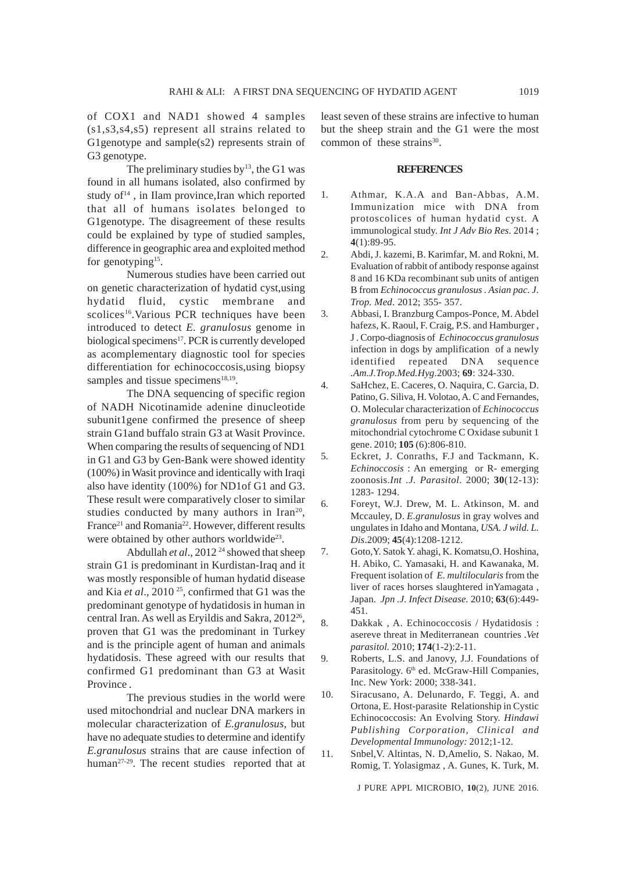of COX1 and NAD1 showed 4 samples (s1,s3,s4,s5) represent all strains related to G1genotype and sample(s2) represents strain of G3 genotype.

The preliminary studies by $^{13}$ , the G1 was found in all humans isolated, also confirmed by study  $of<sup>14</sup>$ , in Ilam province, Iran which reported that all of humans isolates belonged to G1genotype. The disagreement of these results could be explained by type of studied samples, difference in geographic area and exploited method for genotyping<sup>15</sup>.

Numerous studies have been carried out on genetic characterization of hydatid cyst,using hydatid fluid, cystic membrane and scolices<sup>16</sup>. Various PCR techniques have been introduced to detect *E. granulosus* genome in biological specimens<sup>17</sup>. PCR is currently developed as acomplementary diagnostic tool for species differentiation for echinococcosis,using biopsy samples and tissue specimens<sup>18,19</sup>.

The DNA sequencing of specific region of NADH Nicotinamide adenine dinucleotide subunit1gene confirmed the presence of sheep strain G1and buffalo strain G3 at Wasit Province. When comparing the results of sequencing of ND1 in G1 and G3 by Gen-Bank were showed identity (100%) in Wasit province and identically with Iraqi also have identity (100%) for ND1of G1 and G3. These result were comparatively closer to similar studies conducted by many authors in Iran<sup>20</sup>, France<sup>21</sup> and Romania<sup>22</sup>. However, different results were obtained by other authors worldwide<sup>23</sup>.

Abdullah *et al.*, 2012<sup>24</sup> showed that sheep strain G1 is predominant in Kurdistan-Iraq and it was mostly responsible of human hydatid disease and Kia *et al*., 2010 25, confirmed that G1 was the predominant genotype of hydatidosis in human in central Iran. As well as Eryildis and Sakra, 2012<sup>26</sup>, proven that G1 was the predominant in Turkey and is the principle agent of human and animals hydatidosis. These agreed with our results that confirmed G1 predominant than G3 at Wasit Province .

The previous studies in the world were used mitochondrial and nuclear DNA markers in molecular characterization of *E.granulosus*, but have no adequate studies to determine and identify *E.granulosus* strains that are cause infection of human<sup>27-29</sup>. The recent studies reported that at least seven of these strains are infective to human but the sheep strain and the G1 were the most common of these strains $30$ .

### **REFERENCES**

- 1. Athmar, K.A.A and Ban-Abbas, A.M. Immunization mice with DNA from protoscolices of human hydatid cyst. A immunological study. *Int J Adv Bio Res.* 2014 ; **4**(1):89-95.
- 2. Abdi, J. kazemi, B. Karimfar, M. and Rokni, M. Evaluation of rabbit of antibody response against 8 and 16 KDa recombinant sub units of antigen B from *Echinococcus granulosus . Asian pac. J. Trop. Med*. 2012; 355- 357.
- 3. Abbasi, I. Branzburg Campos-Ponce, M. Abdel hafezs, K. Raoul, F. Craig, P.S. and Hamburger , J . Corpo-diagnosis of *Echinococcus granulosus* infection in dogs by amplification of a newly identified repeated DNA sequence *.Am.J.Trop.Med.Hyg*.2003; **69**: 324-330.
- 4. SaHchez, E. Caceres, O. Naquira, C. Garcia, D. Patino, G. Siliva, H. Volotao, A. C and Fernandes, O. Molecular characterization of *Echinococcus granulosus* from peru by sequencing of the mitochondrial cytochrome C Oxidase subunit 1 gene. 2010; **105** (6):806-810.
- 5. Eckret, J. Conraths, F.J and Tackmann, K. *Echinoccosis* : An emerging or R- emerging zoonosis.*Int .J. Parasitol*. 2000; **30**(12-13): 1283- 1294.
- 6. Foreyt, W.J. Drew, M. L. Atkinson, M. and Mccauley, D. *E.granulosus* in gray wolves and ungulates in Idaho and Montana, *USA. J wild. L. Dis*.2009; **45**(4):1208-1212.
- 7. Goto,Y. Satok Y. ahagi, K. Komatsu,O. Hoshina, H. Abiko, C. Yamasaki, H. and Kawanaka, M. Frequent isolation of *E. multilocularis* from the liver of races horses slaughtered inYamagata , Japan. *Jpn .J. Infect Disease.* 2010; **63**(6):449- 451.
- 8. Dakkak , A. Echinococcosis / Hydatidosis : asereve threat in Mediterranean countries .*Vet parasitol.* 2010; **174**(1-2):2-11.
- 9. Roberts, L.S. and Janovy, J.J. Foundations of Parasitology. 6<sup>th</sup> ed. McGraw-Hill Companies, Inc. New York: 2000; 338-341.
- 10. Siracusano, A. Delunardo, F. Teggi, A. and Ortona, E. Host-parasite Relationship in Cystic Echinococcosis: An Evolving Story. *Hindawi Publishing Corporation, Clinical and Developmental Immunology:* 2012;1-12.
- 11. Snbel,V. Altintas, N. D,Amelio, S. Nakao, M. Romig, T. Yolasigmaz , A. Gunes, K. Turk, M.